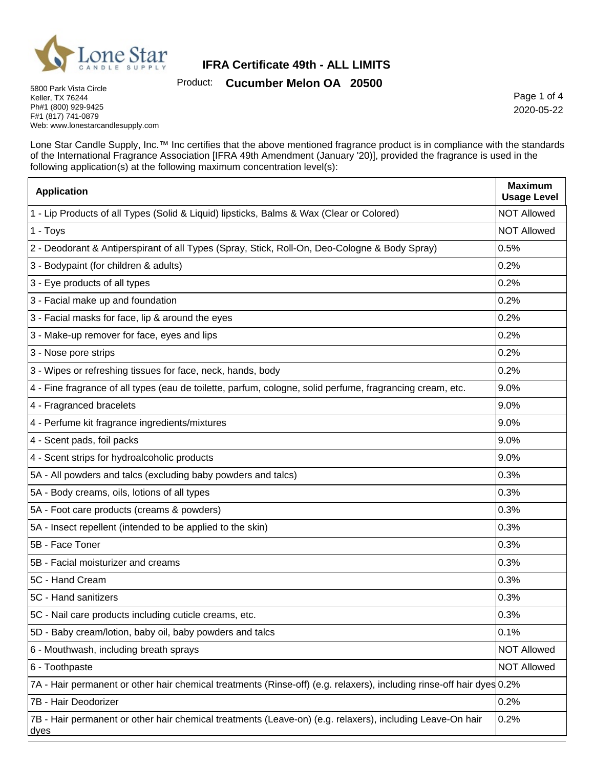

Product: **Cucumber Melon OA 20500**

5800 Park Vista Circle Keller, TX 76244 Ph#1 (800) 929-9425 F#1 (817) 741-0879 Web: www.lonestarcandlesupply.com

Page 1 of 4 2020-05-22

Lone Star Candle Supply, Inc.™ Inc certifies that the above mentioned fragrance product is in compliance with the standards of the International Fragrance Association [IFRA 49th Amendment (January '20)], provided the fragrance is used in the following application(s) at the following maximum concentration level(s):

| <b>Application</b>                                                                                                    | <b>Maximum</b><br><b>Usage Level</b> |
|-----------------------------------------------------------------------------------------------------------------------|--------------------------------------|
| 1 - Lip Products of all Types (Solid & Liquid) lipsticks, Balms & Wax (Clear or Colored)                              | <b>NOT Allowed</b>                   |
| 1 - Toys                                                                                                              | <b>NOT Allowed</b>                   |
| 2 - Deodorant & Antiperspirant of all Types (Spray, Stick, Roll-On, Deo-Cologne & Body Spray)                         | 0.5%                                 |
| 3 - Bodypaint (for children & adults)                                                                                 | 0.2%                                 |
| 3 - Eye products of all types                                                                                         | 0.2%                                 |
| 3 - Facial make up and foundation                                                                                     | 0.2%                                 |
| 3 - Facial masks for face, lip & around the eyes                                                                      | 0.2%                                 |
| 3 - Make-up remover for face, eyes and lips                                                                           | 0.2%                                 |
| 3 - Nose pore strips                                                                                                  | 0.2%                                 |
| 3 - Wipes or refreshing tissues for face, neck, hands, body                                                           | 0.2%                                 |
| 4 - Fine fragrance of all types (eau de toilette, parfum, cologne, solid perfume, fragrancing cream, etc.             | 9.0%                                 |
| 4 - Fragranced bracelets                                                                                              | 9.0%                                 |
| 4 - Perfume kit fragrance ingredients/mixtures                                                                        | 9.0%                                 |
| 4 - Scent pads, foil packs                                                                                            | 9.0%                                 |
| 4 - Scent strips for hydroalcoholic products                                                                          | 9.0%                                 |
| 5A - All powders and talcs (excluding baby powders and talcs)                                                         | 0.3%                                 |
| 5A - Body creams, oils, lotions of all types                                                                          | 0.3%                                 |
| 5A - Foot care products (creams & powders)                                                                            | 0.3%                                 |
| 5A - Insect repellent (intended to be applied to the skin)                                                            | 0.3%                                 |
| 5B - Face Toner                                                                                                       | 0.3%                                 |
| 5B - Facial moisturizer and creams                                                                                    | 0.3%                                 |
| 5C - Hand Cream                                                                                                       | 0.3%                                 |
| 5C - Hand sanitizers                                                                                                  | 0.3%                                 |
| 5C - Nail care products including cuticle creams, etc.                                                                | $ 0.3\%$                             |
| 5D - Baby cream/lotion, baby oil, baby powders and talcs                                                              | 0.1%                                 |
| 6 - Mouthwash, including breath sprays                                                                                | <b>NOT Allowed</b>                   |
| 6 - Toothpaste                                                                                                        | <b>NOT Allowed</b>                   |
| 7A - Hair permanent or other hair chemical treatments (Rinse-off) (e.g. relaxers), including rinse-off hair dyes 0.2% |                                      |
| 7B - Hair Deodorizer                                                                                                  | 0.2%                                 |
| 7B - Hair permanent or other hair chemical treatments (Leave-on) (e.g. relaxers), including Leave-On hair<br>dyes     | 0.2%                                 |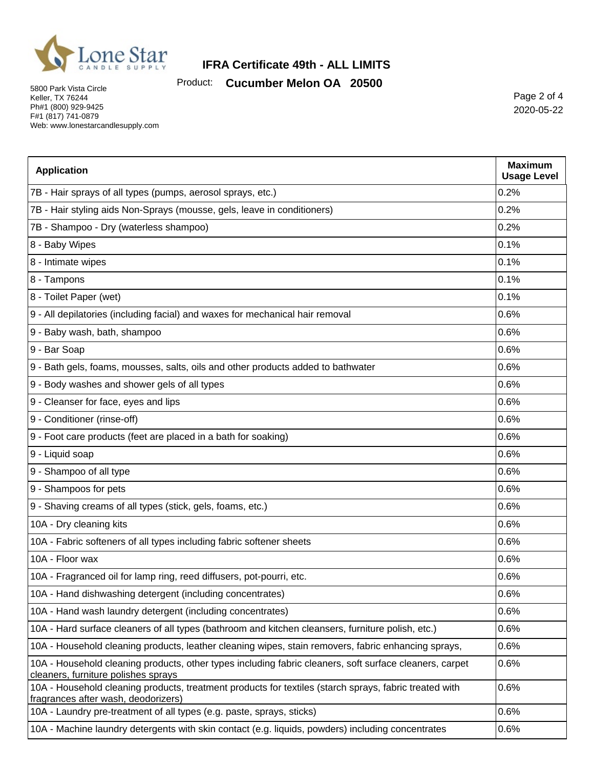

Product: **Cucumber Melon OA 20500**

5800 Park Vista Circle Keller, TX 76244 Ph#1 (800) 929-9425 F#1 (817) 741-0879 Web: www.lonestarcandlesupply.com

Page 2 of 4 2020-05-22

| <b>Application</b>                                                                                                                             | <b>Maximum</b><br><b>Usage Level</b> |
|------------------------------------------------------------------------------------------------------------------------------------------------|--------------------------------------|
| 7B - Hair sprays of all types (pumps, aerosol sprays, etc.)                                                                                    | 0.2%                                 |
| 7B - Hair styling aids Non-Sprays (mousse, gels, leave in conditioners)                                                                        | 0.2%                                 |
| 7B - Shampoo - Dry (waterless shampoo)                                                                                                         | 0.2%                                 |
| 8 - Baby Wipes                                                                                                                                 | 0.1%                                 |
| 8 - Intimate wipes                                                                                                                             | 0.1%                                 |
| 8 - Tampons                                                                                                                                    | 0.1%                                 |
| 8 - Toilet Paper (wet)                                                                                                                         | 0.1%                                 |
| 9 - All depilatories (including facial) and waxes for mechanical hair removal                                                                  | 0.6%                                 |
| 9 - Baby wash, bath, shampoo                                                                                                                   | 0.6%                                 |
| 9 - Bar Soap                                                                                                                                   | 0.6%                                 |
| 9 - Bath gels, foams, mousses, salts, oils and other products added to bathwater                                                               | 0.6%                                 |
| 9 - Body washes and shower gels of all types                                                                                                   | 0.6%                                 |
| 9 - Cleanser for face, eyes and lips                                                                                                           | 0.6%                                 |
| 9 - Conditioner (rinse-off)                                                                                                                    | 0.6%                                 |
| 9 - Foot care products (feet are placed in a bath for soaking)                                                                                 | 0.6%                                 |
| 9 - Liquid soap                                                                                                                                | 0.6%                                 |
| 9 - Shampoo of all type                                                                                                                        | 0.6%                                 |
| 9 - Shampoos for pets                                                                                                                          | 0.6%                                 |
| 9 - Shaving creams of all types (stick, gels, foams, etc.)                                                                                     | 0.6%                                 |
| 10A - Dry cleaning kits                                                                                                                        | 0.6%                                 |
| 10A - Fabric softeners of all types including fabric softener sheets                                                                           | 0.6%                                 |
| 10A - Floor wax                                                                                                                                | 0.6%                                 |
| 10A - Fragranced oil for lamp ring, reed diffusers, pot-pourri, etc.                                                                           | 0.6%                                 |
| 10A - Hand dishwashing detergent (including concentrates)                                                                                      | 0.6%                                 |
| 10A - Hand wash laundry detergent (including concentrates)                                                                                     | 0.6%                                 |
| 10A - Hard surface cleaners of all types (bathroom and kitchen cleansers, furniture polish, etc.)                                              | 0.6%                                 |
| 10A - Household cleaning products, leather cleaning wipes, stain removers, fabric enhancing sprays,                                            | 0.6%                                 |
| 10A - Household cleaning products, other types including fabric cleaners, soft surface cleaners, carpet<br>cleaners, furniture polishes sprays | 0.6%                                 |
| 10A - Household cleaning products, treatment products for textiles (starch sprays, fabric treated with<br>fragrances after wash, deodorizers)  | 0.6%                                 |
| 10A - Laundry pre-treatment of all types (e.g. paste, sprays, sticks)                                                                          | 0.6%                                 |
| 10A - Machine laundry detergents with skin contact (e.g. liquids, powders) including concentrates                                              | 0.6%                                 |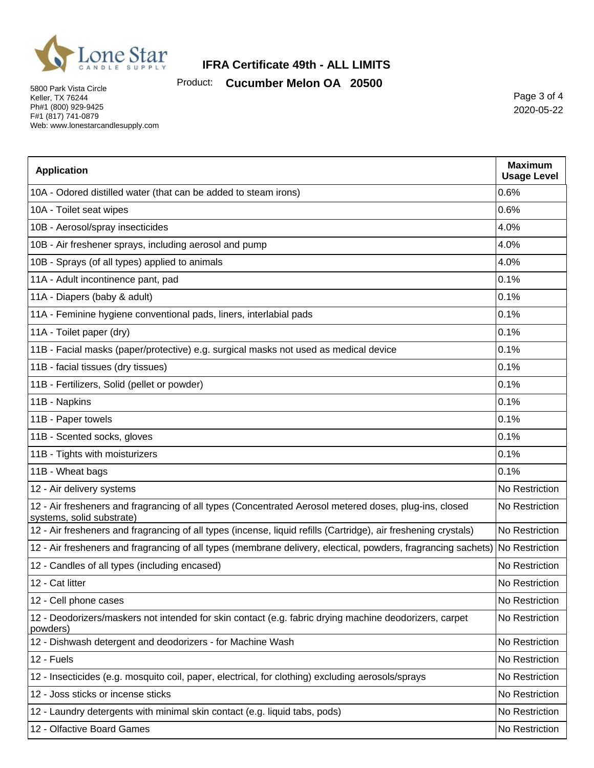

Product: **Cucumber Melon OA 20500**

5800 Park Vista Circle Keller, TX 76244 Ph#1 (800) 929-9425 F#1 (817) 741-0879 Web: www.lonestarcandlesupply.com

Page 3 of 4 2020-05-22

| <b>Application</b>                                                                                                                  | <b>Maximum</b><br><b>Usage Level</b> |
|-------------------------------------------------------------------------------------------------------------------------------------|--------------------------------------|
| 10A - Odored distilled water (that can be added to steam irons)                                                                     | 0.6%                                 |
| 10A - Toilet seat wipes                                                                                                             | 0.6%                                 |
| 10B - Aerosol/spray insecticides                                                                                                    | 4.0%                                 |
| 10B - Air freshener sprays, including aerosol and pump                                                                              | 4.0%                                 |
| 10B - Sprays (of all types) applied to animals                                                                                      | 4.0%                                 |
| 11A - Adult incontinence pant, pad                                                                                                  | 0.1%                                 |
| 11A - Diapers (baby & adult)                                                                                                        | 0.1%                                 |
| 11A - Feminine hygiene conventional pads, liners, interlabial pads                                                                  | 0.1%                                 |
| 11A - Toilet paper (dry)                                                                                                            | 0.1%                                 |
| 11B - Facial masks (paper/protective) e.g. surgical masks not used as medical device                                                | 0.1%                                 |
| 11B - facial tissues (dry tissues)                                                                                                  | 0.1%                                 |
| 11B - Fertilizers, Solid (pellet or powder)                                                                                         | 0.1%                                 |
| 11B - Napkins                                                                                                                       | 0.1%                                 |
| 11B - Paper towels                                                                                                                  | 0.1%                                 |
| 11B - Scented socks, gloves                                                                                                         | 0.1%                                 |
| 11B - Tights with moisturizers                                                                                                      | 0.1%                                 |
| 11B - Wheat bags                                                                                                                    | 0.1%                                 |
| 12 - Air delivery systems                                                                                                           | No Restriction                       |
| 12 - Air fresheners and fragrancing of all types (Concentrated Aerosol metered doses, plug-ins, closed<br>systems, solid substrate) | No Restriction                       |
| 12 - Air fresheners and fragrancing of all types (incense, liquid refills (Cartridge), air freshening crystals)                     | No Restriction                       |
| 12 - Air fresheners and fragrancing of all types (membrane delivery, electical, powders, fragrancing sachets) No Restriction        |                                      |
| 12 - Candles of all types (including encased)                                                                                       | No Restriction                       |
| 12 - Cat litter                                                                                                                     | No Restriction                       |
| 12 - Cell phone cases                                                                                                               | No Restriction                       |
| 12 - Deodorizers/maskers not intended for skin contact (e.g. fabric drying machine deodorizers, carpet<br>powders)                  | No Restriction                       |
| 12 - Dishwash detergent and deodorizers - for Machine Wash                                                                          | No Restriction                       |
| 12 - Fuels                                                                                                                          | No Restriction                       |
| 12 - Insecticides (e.g. mosquito coil, paper, electrical, for clothing) excluding aerosols/sprays                                   | No Restriction                       |
| 12 - Joss sticks or incense sticks                                                                                                  | No Restriction                       |
| 12 - Laundry detergents with minimal skin contact (e.g. liquid tabs, pods)                                                          | No Restriction                       |
| 12 - Olfactive Board Games                                                                                                          | No Restriction                       |